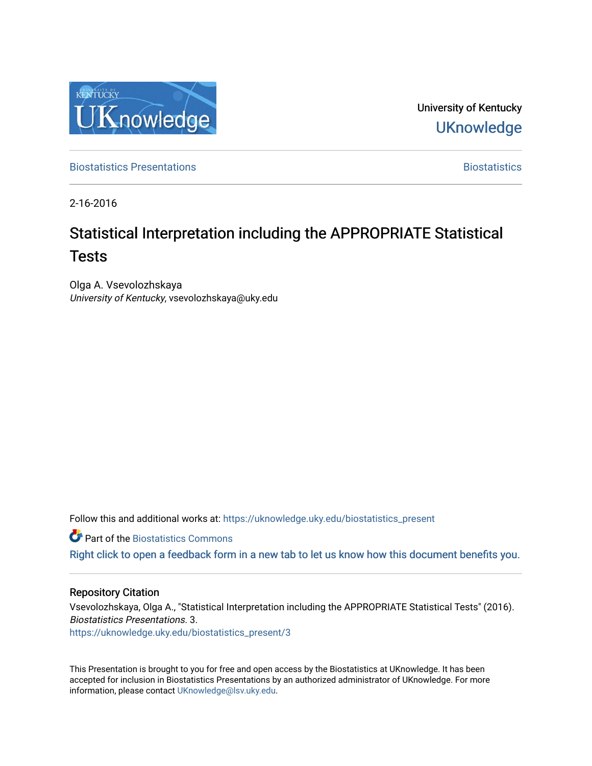

University of Kentucky **UKnowledge** 

[Biostatistics Presentations](https://uknowledge.uky.edu/biostatistics_present) **Biostatistics** [Biostatistics](https://uknowledge.uky.edu/biostatistics) **Biostatistics** 

2-16-2016

# Statistical Interpretation including the APPROPRIATE Statistical Tests

Olga A. Vsevolozhskaya University of Kentucky, vsevolozhskaya@uky.edu

Follow this and additional works at: [https://uknowledge.uky.edu/biostatistics\\_present](https://uknowledge.uky.edu/biostatistics_present?utm_source=uknowledge.uky.edu%2Fbiostatistics_present%2F3&utm_medium=PDF&utm_campaign=PDFCoverPages) 

**Part of the Biostatistics Commons** 

[Right click to open a feedback form in a new tab to let us know how this document benefits you.](https://uky.az1.qualtrics.com/jfe/form/SV_9mq8fx2GnONRfz7)

#### Repository Citation

Vsevolozhskaya, Olga A., "Statistical Interpretation including the APPROPRIATE Statistical Tests" (2016). Biostatistics Presentations. 3. [https://uknowledge.uky.edu/biostatistics\\_present/3](https://uknowledge.uky.edu/biostatistics_present/3?utm_source=uknowledge.uky.edu%2Fbiostatistics_present%2F3&utm_medium=PDF&utm_campaign=PDFCoverPages) 

This Presentation is brought to you for free and open access by the Biostatistics at UKnowledge. It has been accepted for inclusion in Biostatistics Presentations by an authorized administrator of UKnowledge. For more information, please contact [UKnowledge@lsv.uky.edu](mailto:UKnowledge@lsv.uky.edu).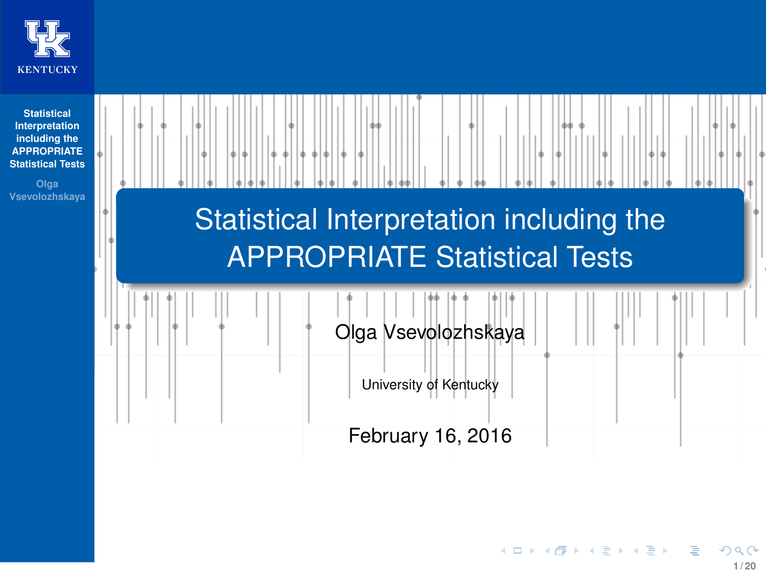<span id="page-1-1"></span><span id="page-1-0"></span>

| <b>Statistical</b><br>Interpretation<br>including the<br><b>APPROPRIATE</b><br><b>Statistical Tests</b><br>Olga<br>Vsevolozhskaya | 44                                                                               |
|-----------------------------------------------------------------------------------------------------------------------------------|----------------------------------------------------------------------------------|
|                                                                                                                                   | Statistical Interpretation including the<br><b>APPROPRIATE Statistical Tests</b> |
|                                                                                                                                   | Olga Vsevolozhskaya                                                              |
|                                                                                                                                   | University of Kentucky                                                           |
|                                                                                                                                   | February 16, 2016                                                                |

**KOD K個 K ミト K ミト ニヨー りんぺ**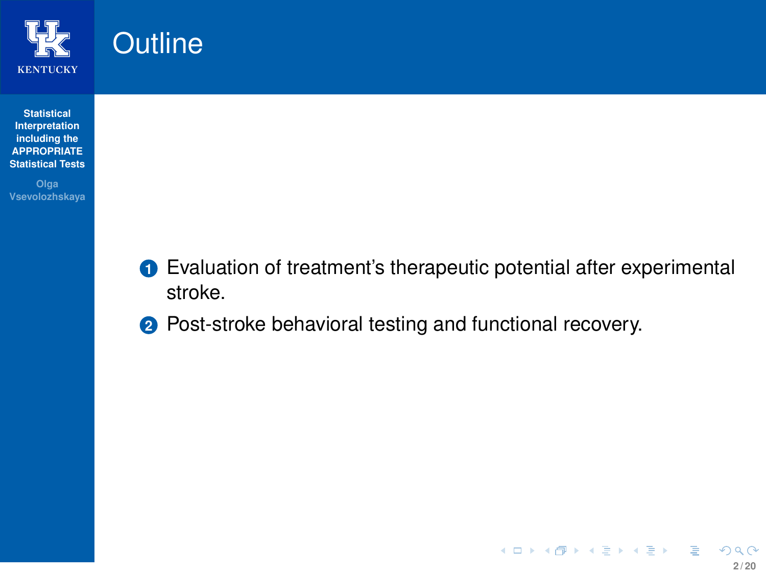

<span id="page-2-0"></span>**Outline** 

#### **Statistical Interpretation including the [APPROPRIATE](#page-1-0) Statistical Tests**

**Olga Vsevolozhskaya**

- **<sup>1</sup>** Evaluation of treatment's therapeutic potential after experimental stroke.
- **2** Post-stroke behavioral testing and functional recovery.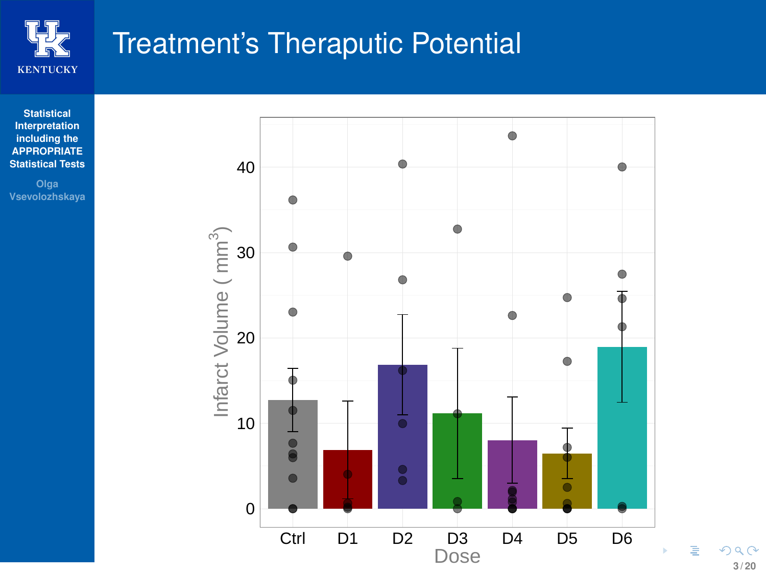

## <span id="page-3-0"></span>Treatment's Theraputic Potential

**Statistical Interpretation including the [APPROPRIATE](#page-1-0) Statistical Tests**

**Olga Vsevolozhskaya**



**3 / 20**

 $290$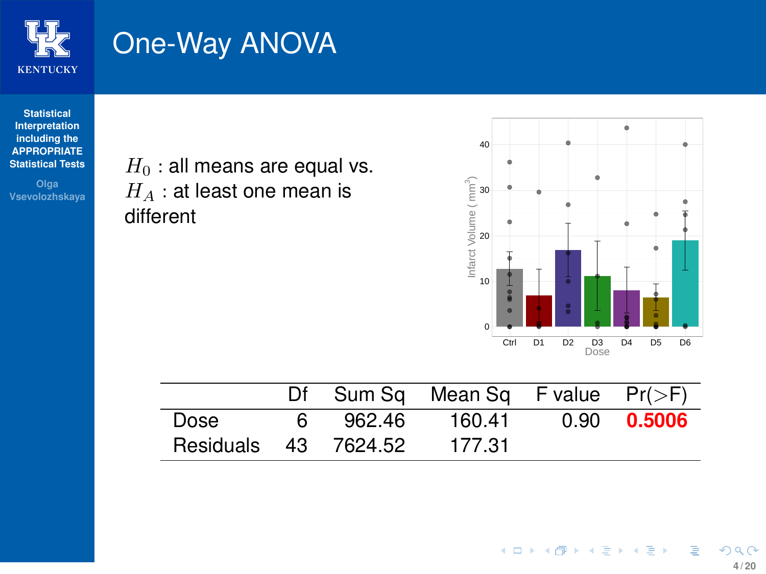

# One-Way ANOVA

**Statistical Interpretation including the [APPROPRIATE](#page-1-0) Statistical Tests**

**Olga Vsevolozhskaya**

 $H_0$  : all means are equal vs.  $H_A$  : at least one mean is different



|                      |    |        | Df Sum Sq Mean Sq F value $Pr(\geq F)$ |             |
|----------------------|----|--------|----------------------------------------|-------------|
| Dose                 | 6. | 962.46 | 160.41                                 | 0.90 0.5006 |
| Residuals 43 7624.52 |    |        | - 177.31                               |             |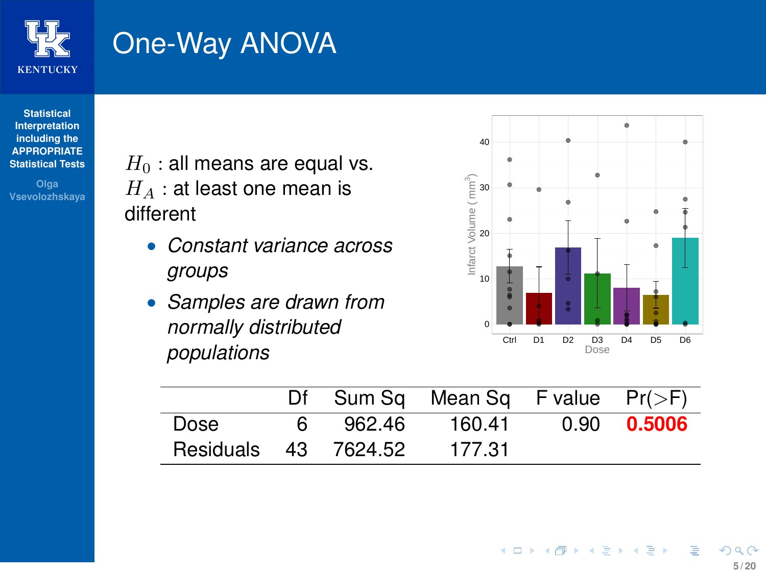

# One-Way ANOVA

**Statistical Interpretation including the [APPROPRIATE](#page-1-0) Statistical Tests**

**Olga Vsevolozhskaya**  $H_0$ : all means are equal vs.  $H_A$ : at least one mean is different

- *Constant variance across groups*
- *Samples are drawn from normally distributed populations*

L,



|                      |    |        | Df Sum Sq Mean Sq F value $Pr(>=F)$ |             |
|----------------------|----|--------|-------------------------------------|-------------|
| Dose                 | 6. | 962.46 | 160.41                              | 0.90 0.5006 |
| Residuals 43 7624.52 |    |        | 177.31                              |             |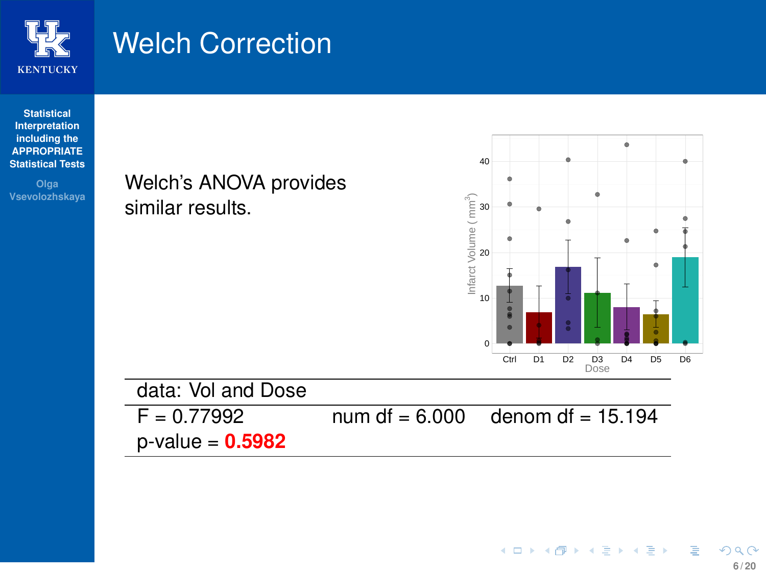

### Welch Correction

similar results.

#### **Statistical Interpretation including the [APPROPRIATE](#page-1-0) Statistical Tests**

**Olga Vsevolozhskaya**



p-value = **0.5982**

۰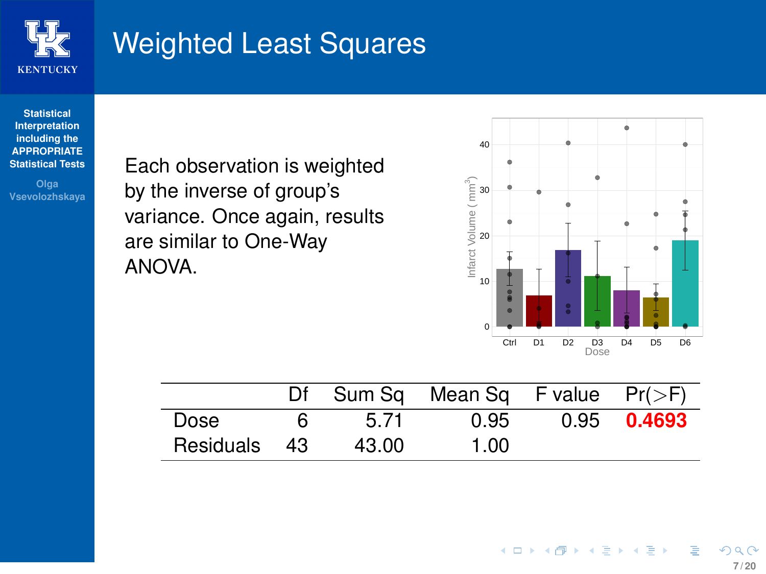

## Weighted Least Squares

**Statistical Interpretation including the [APPROPRIATE](#page-1-0) Statistical Tests**

**Olga Vsevolozhskaya** Each observation is weighted by the inverse of group's variance. Once again, results are similar to One-Way ANOVA.



|              |    |       | Df Sum Sq Mean Sq F value $Pr(\ge F)$ |               |
|--------------|----|-------|---------------------------------------|---------------|
| Dose         | 6. | 5.71  | 0.95                                  | $0.95$ 0.4693 |
| Residuals 43 |    | 43.00 | 1.00                                  |               |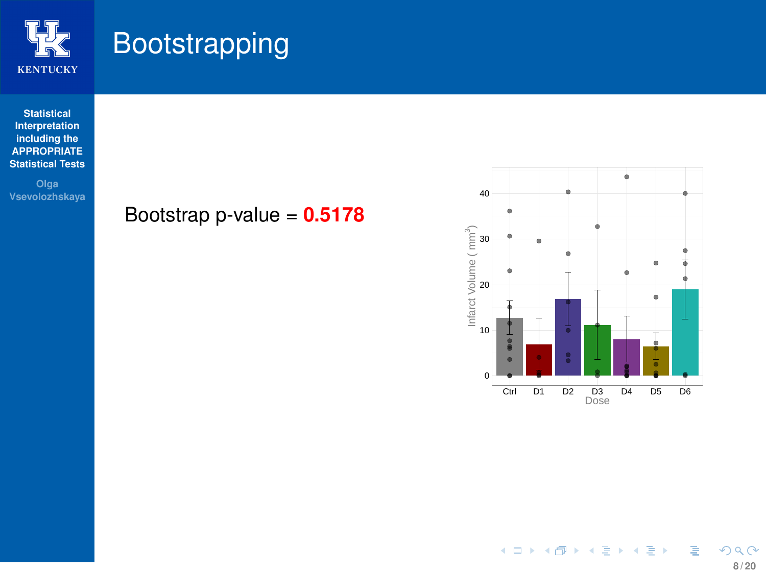

## <span id="page-8-0"></span>**Bootstrapping**

**Statistical Interpretation including the [APPROPRIATE](#page-1-0) Statistical Tests**

**Vsevolozhskaya**

#### Bootstrap p-value = **0.5178**

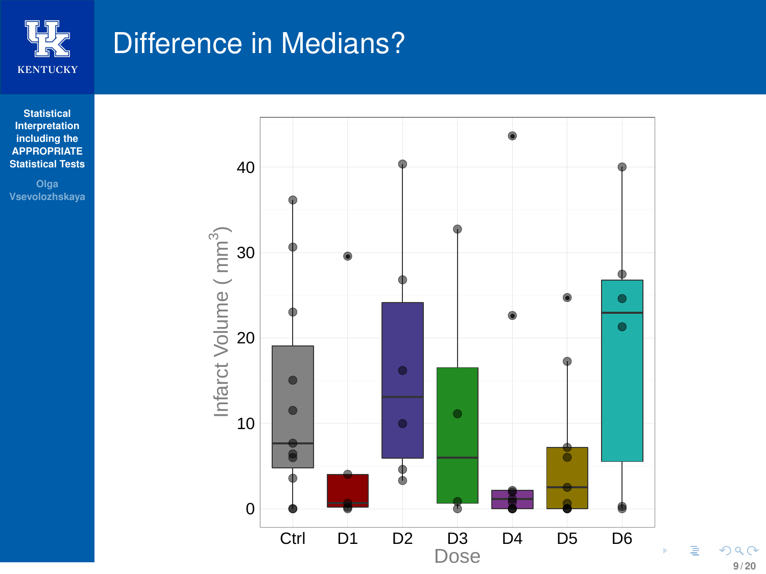

### <span id="page-9-0"></span>Difference in Medians?

**Statistical Interpretation including the [APPROPRIATE](#page-1-0) Statistical Tests**

**Vsevolozhskaya**



**9 / 20**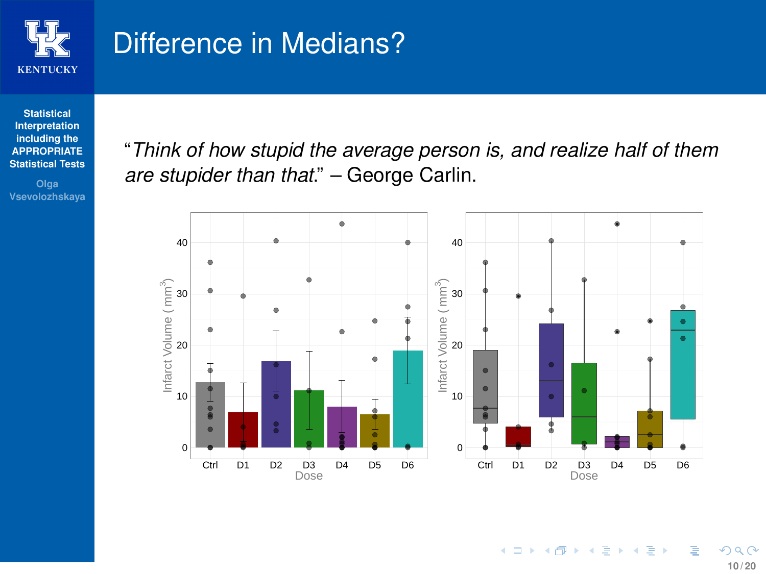

#### Difference in Medians?

**Statistical Interpretation including the [APPROPRIATE](#page-1-0) Statistical Tests**

**Olga Vsevolozhskaya** "*Think of how stupid the average person is, and realize half of them are stupider than that*." – George Carlin.

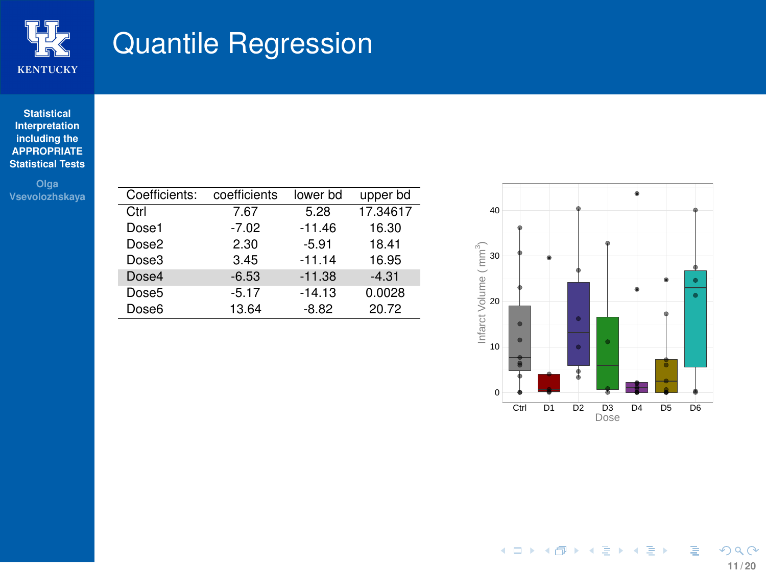

#### Quantile Regression

#### **Statistical Interpretation including the [APPROPRIATE](#page-1-0) Statistical Tests**

**Vsevolozhskaya**

| Coefficients:     | coefficients | lower bd | upper bd |
|-------------------|--------------|----------|----------|
| Ctrl              | 7.67         | 5.28     | 17.34617 |
| Dose1             | $-7.02$      | $-11.46$ | 16.30    |
| Dose2             | 2.30         | $-5.91$  | 18.41    |
| Dose3             | 3.45         | $-11.14$ | 16.95    |
| Dose4             | $-6.53$      | $-11.38$ | $-4.31$  |
| Dose <sub>5</sub> | $-5.17$      | $-14.13$ | 0.0028   |
| Dose <sub>6</sub> | 13.64        | $-8.82$  | 20.72    |

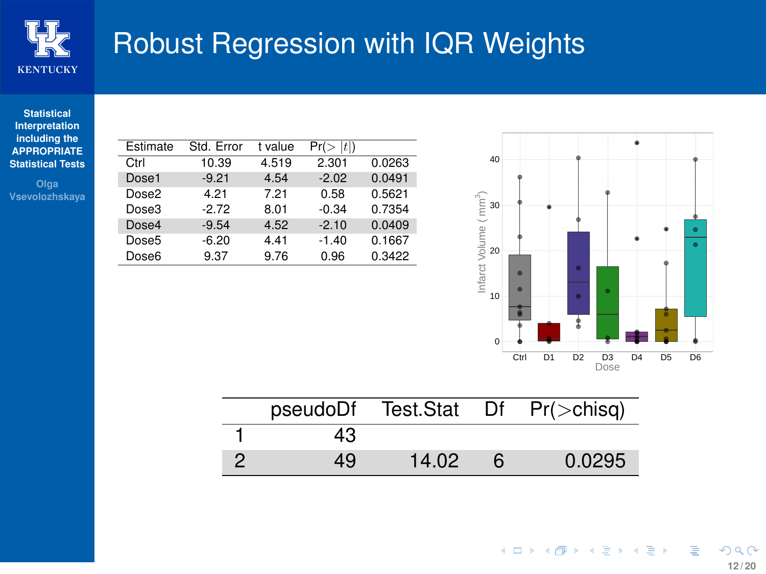

# Robust Regression with IQR Weights

#### **Statistical Interpretation including the [APPROPRIATE](#page-1-0) Statistical Tests**

**Olga Vsevolozhskaya**

| Estimate | Std. Error | t value | t <br>Pr( |        |
|----------|------------|---------|-----------|--------|
| Ctrl     | 10.39      | 4.519   | 2.301     | 0.0263 |
| Dose1    | $-9.21$    | 4.54    | $-2.02$   | 0.0491 |
| Dose2    | 4.21       | 7.21    | 0.58      | 0.5621 |
| Dose3    | -2 72      | 8.01    | $-0.34$   | 0.7354 |
| Dose4    | $-9.54$    | 4.52    | $-2.10$   | 0.0409 |
| Dose5    | $-6.20$    | 4.41    | $-1.40$   | 0.1667 |
| Dose6    | 9.37       | 9.76    | 0.96      | 0.3422 |



|    |       | pseudoDf Test.Stat Df Pr(>chisq) |
|----|-------|----------------------------------|
| 43 |       |                                  |
| 49 | 14.02 | 0.0295                           |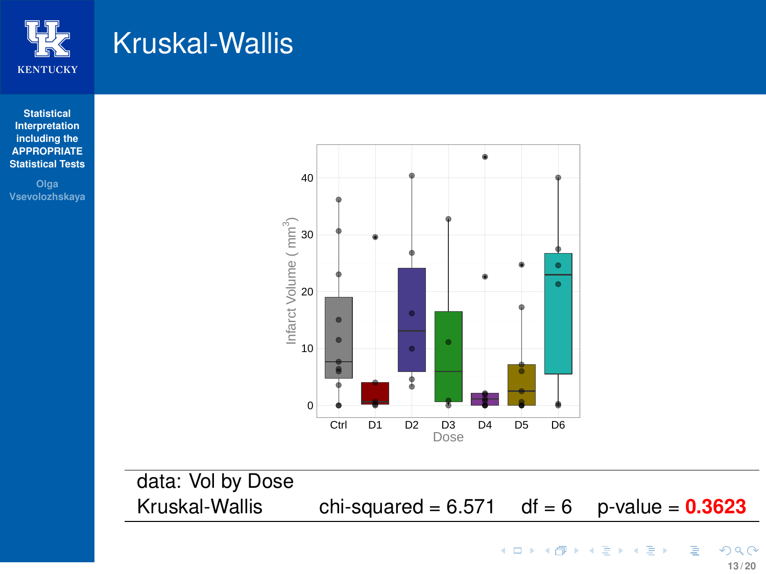

### <span id="page-13-0"></span>Kruskal-Wallis

**Statistical Interpretation including the [APPROPRIATE](#page-1-0) Statistical Tests**

**Olga Vsevolozhskaya**



data: Vol by Dose Kruskal-Wallis chi-squared =  $6.571$  df =  $6$  p-value =  $0.3623$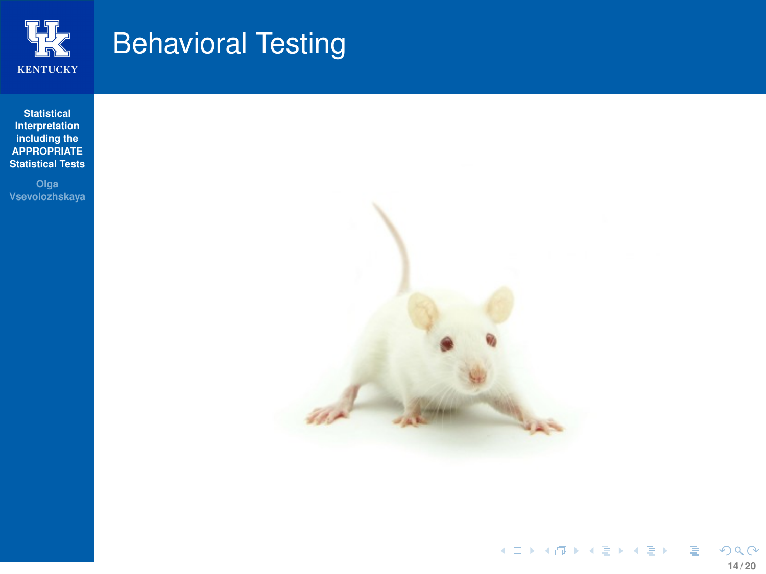

# <span id="page-14-0"></span>Behavioral Testing

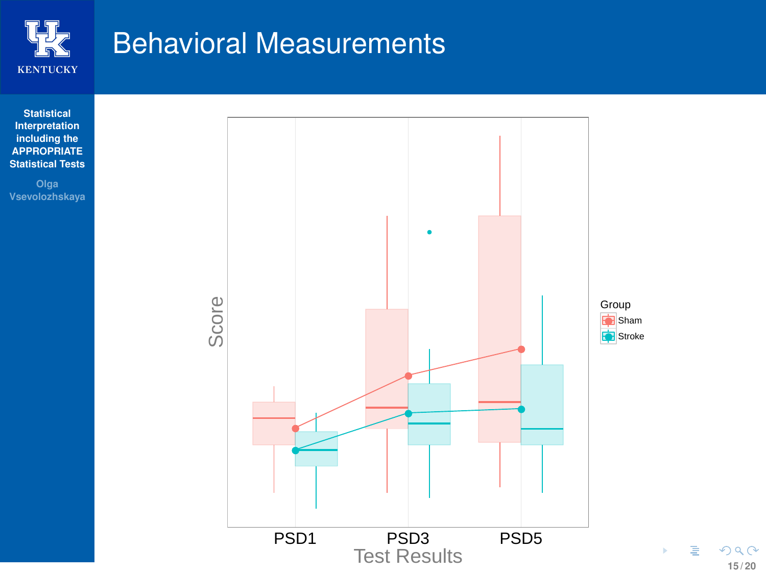

#### Behavioral Measurements



**15 / 20**

 $299$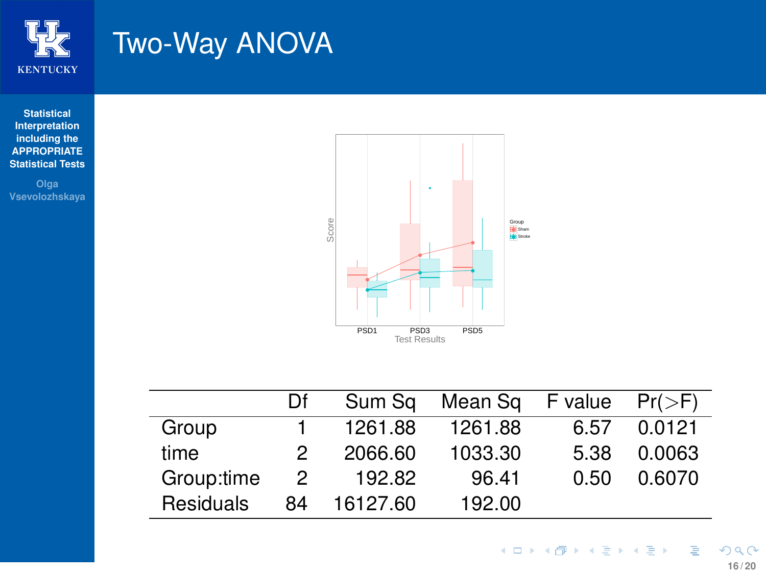

### <span id="page-16-0"></span>Two-Way ANOVA

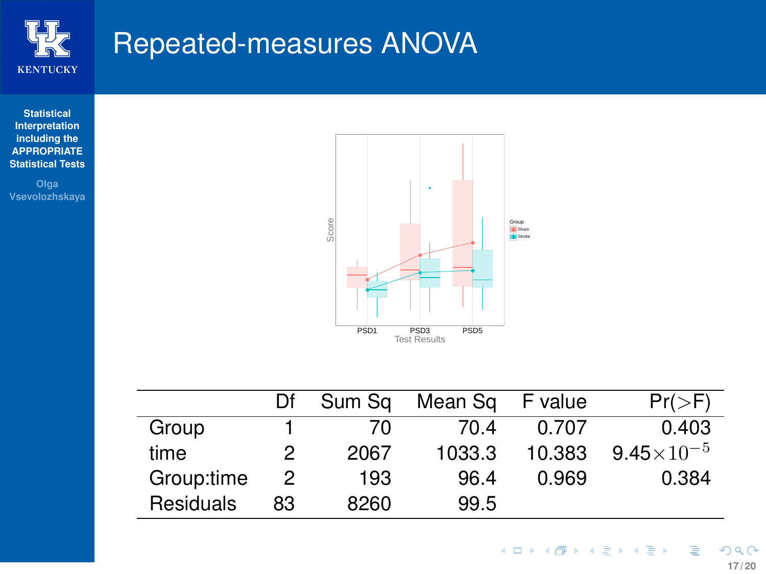

#### Repeated-measures ANOVA

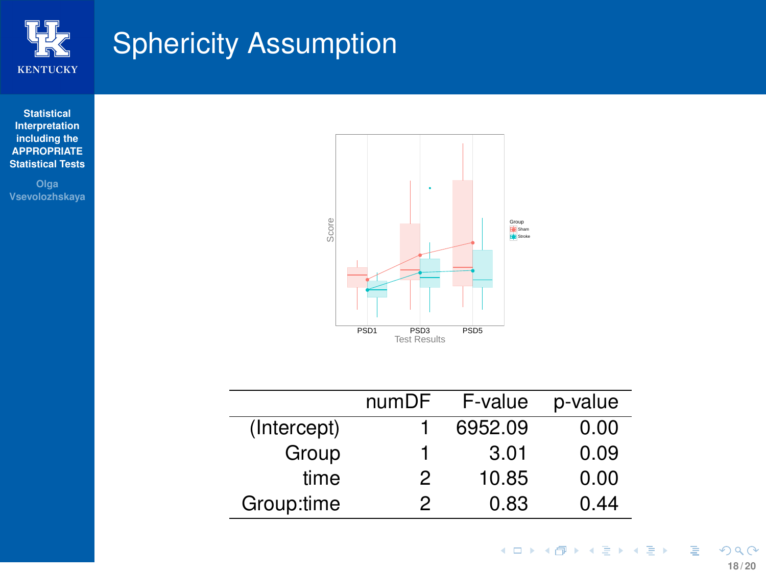

# Sphericity Assumption



**Vsevolozhskaya**



|             | numDF | F-value | p-value |
|-------------|-------|---------|---------|
| (Intercept) |       | 6952.09 | 0.00    |
| Group       | 1     | 3.01    | 0.09    |
| time        | 2     | 10.85   | 0.00    |
| Group:time  | 2     | 0.83    | 0.44    |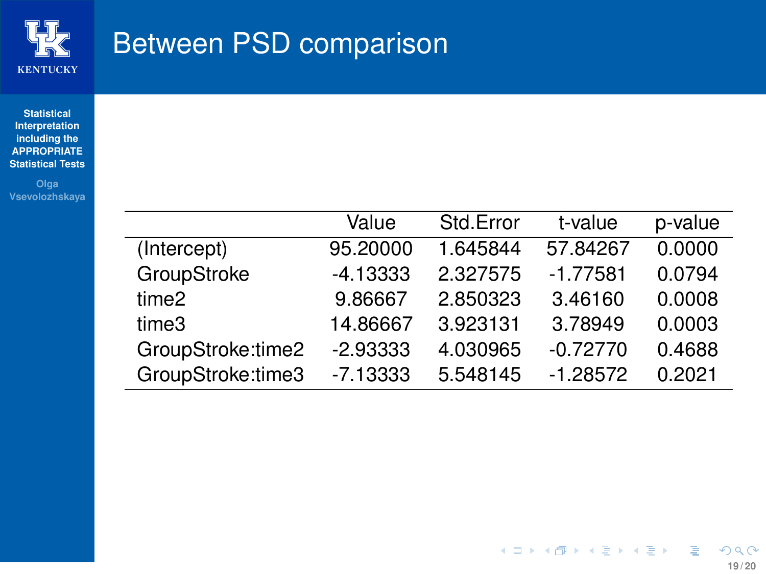

#### Between PSD comparison

**Statistical Interpretation including the [APPROPRIATE](#page-1-0) Statistical Tests**

**Vsevolozhskaya**

|                   | Value      | Std.Error | t-value    | p-value |
|-------------------|------------|-----------|------------|---------|
| (Intercept)       | 95.20000   | 1.645844  | 57.84267   | 0.0000  |
| GroupStroke       | $-4.13333$ | 2.327575  | $-1.77581$ | 0.0794  |
| time <sub>2</sub> | 9.86667    | 2.850323  | 3.46160    | 0.0008  |
| time3             | 14.86667   | 3.923131  | 3.78949    | 0.0003  |
| GroupStroke:time2 | $-2.93333$ | 4.030965  | $-0.72770$ | 0.4688  |
| GroupStroke:time3 | $-7.13333$ | 5.548145  | $-1.28572$ | 0.2021  |